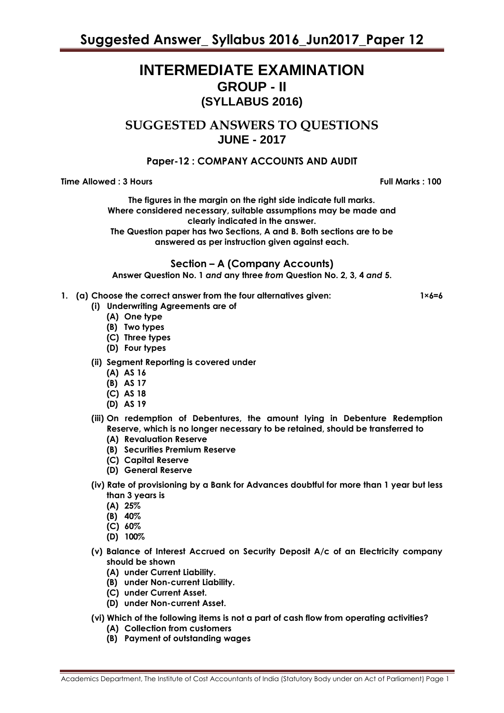## **INTERMEDIATE EXAMINATION GROUP - II (SYLLABUS 2016)**

**SUGGESTED ANSWERS TO QUESTIONS JUNE - 2017**

### **Paper-12 : COMPANY ACCOUNTS AND AUDIT**

**Time Allowed : 3 Hours Full Marks : 100** 

**The figures in the margin on the right side indicate full marks. Where considered necessary, suitable assumptions may be made and clearly indicated in the answer. The Question paper has two Sections, A and B. Both sections are to be answered as per instruction given against each.**

### **Section – A (Company Accounts)**

**Answer Question No. 1** *and* **any three** *from* **Question No. 2, 3, 4** *and* **5.**

**1. (a) Choose the correct answer from the four alternatives given: 1×6=6**

- **(i) Underwriting Agreements are of**
	- **(A) One type**
	- **(B) Two types**
	- **(C) Three types**
	- **(D) Four types**
- **(ii) Segment Reporting is covered under**
	- **(A) AS 16**
	- **(B) AS 17**
	- **(C) AS 18**
	- **(D) AS 19**
- **(iii) On redemption of Debentures, the amount lying in Debenture Redemption Reserve, which is no longer necessary to be retained, should be transferred to**
	- **(A) Revaluation Reserve**
	- **(B) Securities Premium Reserve**
	- **(C) Capital Reserve**
	- **(D) General Reserve**
- **(iv) Rate of provisioning by a Bank for Advances doubtful for more than 1 year but less than 3 years is**
	- **(A) 25%**
	- **(B) 40%**
	- **(C) 60%**
	- **(D) 100%**
- **(v) Balance of Interest Accrued on Security Deposit A/c of an Electricity company should be shown**
	- **(A) under Current Liability.**
	- **(B) under Non-current Liability.**
	- **(C) under Current Asset.**
	- **(D) under Non-current Asset.**
- **(vi) Which of the following items is not a part of cash flow from operating activities?**
	- **(A) Collection from customers**
	- **(B) Payment of outstanding wages**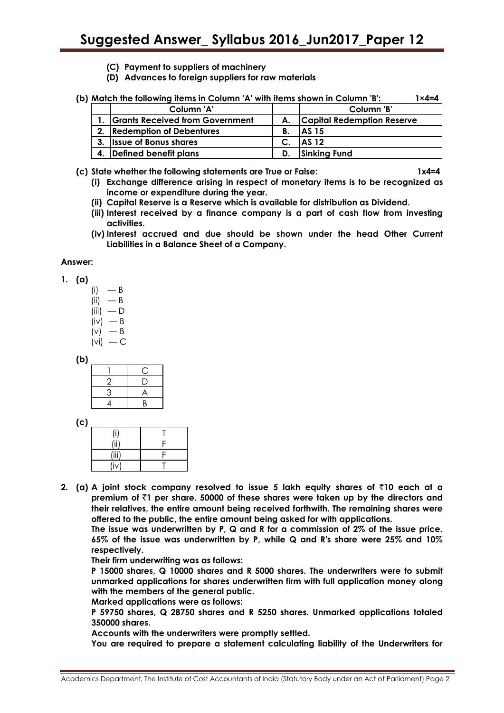- **(C) Payment to suppliers of machinery**
- **(D) Advances to foreign suppliers for raw materials**

| (b) Match the following items in Column 'A' with items shown in Column 'B': |                                              |                                                   |    |                               |  |  |  |
|-----------------------------------------------------------------------------|----------------------------------------------|---------------------------------------------------|----|-------------------------------|--|--|--|
|                                                                             | Column 'A'                                   |                                                   |    | Column 'B'                    |  |  |  |
|                                                                             | <b>Grants Received from Government</b><br>1. |                                                   |    | A. Capital Redemption Reserve |  |  |  |
|                                                                             |                                              | <b>AS 15</b><br>2. Redemption of Debentures<br>В. |    |                               |  |  |  |
| 3. Issue of Bonus shares                                                    |                                              | <b>IAS 12</b>                                     |    |                               |  |  |  |
|                                                                             | 4.                                           | Defined benefit plans                             | D. | <b>Sinking Fund</b>           |  |  |  |

- **(c) State whether the following statements are True or False: 1x4=4**
	- **(i) Exchange difference arising in respect of monetary items is to be recognized as income or expenditure during the year.**
	- **(ii) Capital Reserve is a Reserve which is available for distribution as Dividend.**
	- **(iii) Interest received by a finance company is a part of cash flow from investing activities.**
	- **(iv) Interest accrued and due should be shown under the head Other Current Liabilities in a Balance Sheet of a Company.**

#### **Answer:**

**1. (a)**

 $(i) \quad -B$  $(ii)$  — B  $(iii) - D$  $(iv) - B$  $(v)$  — B  $(vi) - C$ 

| (b) |    |   |
|-----|----|---|
|     |    |   |
|     | ٠, |   |
|     | વ  |   |
|     |    | R |

**(c)**

| (iii) |  |
|-------|--|
| (iii) |  |
| (iv)  |  |

**2. (a) A joint stock company resolved to issue 5 lakh equity shares of** `**10 each at a premium of** `**1 per share. 50000 of these shares were taken up by the directors and their relatives, the entire amount being received forthwith. The remaining shares were offered to the public, the entire amount being asked for with applications.**

**The issue was underwritten by P, Q and R for a commission of 2% of the issue price. 65% of the issue was underwritten by P, while Q and R's share were 25% and 10% respectively.** 

**Their firm underwriting was as follows:**

**P 15000 shares, Q 10000 shares and R 5000 shares. The underwriters were to submit unmarked applications for shares underwritten firm with full application money along with the members of the general public.**

**Marked applications were as follows:** 

**P 59750 shares, Q 28750 shares and R 5250 shares. Unmarked applications totaled 350000 shares.**

**Accounts with the underwriters were promptly settled.**

**You are required to prepare a statement calculating liability of the Underwriters for**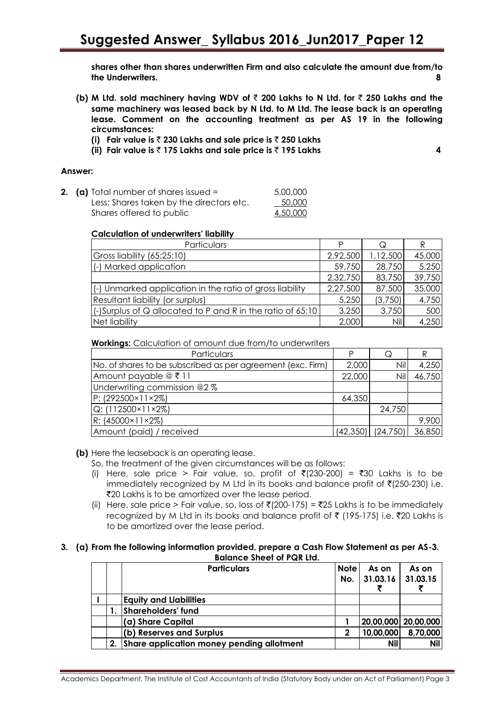**shares other than shares underwritten Firm and also calculate the amount due from/to the Underwriters. 8**

- **(b) M Ltd. sold machinery having WDV of** ` **200 Lakhs to N Ltd. for** ` **250 Lakhs and the same machinery was leased back by N Ltd. to M Ltd. The lease back is an operating lease. Comment on the accounting treatment as per AS 19 in the following circumstances:**
	- **(i) Fair value is** ` **230 Lakhs and sale price is** ` **250 Lakhs**
	- **(ii) Fair value is** ` **175 Lakhs and sale price is** ` **195 Lakhs 4**

#### **Answer:**

| <b>2.</b> (a) Total number of shares issued $=$ | 5,00,000 |
|-------------------------------------------------|----------|
| Less: Shares taken by the directors etc.        | 50,000   |
| Shares offered to public                        | 4,50,000 |

#### **Calculation of underwriters' liability**

| Particulars                                                                        | P        | Q        | R      |
|------------------------------------------------------------------------------------|----------|----------|--------|
| Gross liability (65:25:10)                                                         | 2,92,500 | 1,12,500 | 45,000 |
| (-) Marked application                                                             | 59,750   | 28,750   | 5,250  |
|                                                                                    | 2,32,750 | 83,750   | 39,750 |
| (-) Unmarked application in the ratio of gross liability                           | 2,27,500 | 87,500   | 35,000 |
| Resultant liability (or surplus)                                                   | 5,250    | (3,750)  | 4,750  |
| $\left(\frac{1}{2}\right)$ Surplus of Q allocated to P and R in the ratio of 65:10 | 3,250    | 3,750    | 500    |
| Net liability                                                                      | 2,000    | Nil      | 4,250  |

**Workings:** Calculation of amount due from/to underwriters

| Particulars                                                 |           | Q)        | R      |
|-------------------------------------------------------------|-----------|-----------|--------|
| No. of shares to be subscribed as per agreement (exc. Firm) | 2,000     | Nil       | 4,250  |
| Amount payable $@ \xi 11$                                   | 22,000    | Nil       | 46,750 |
| Underwriting commission @2%                                 |           |           |        |
| P: $(292500 \times 11 \times 2\%)$                          | 64,350    |           |        |
| $Q: (112500 \times 11 \times 2\%)$                          |           | 24,750    |        |
| $R: (45000 \times 11 \times 2\%)$                           |           |           | 9,900  |
| Amount (paid) / received                                    | (42, 350) | (24, 750) | 36,850 |

**(b)** Here the leaseback is an operating lease.

So, the treatment of the given circumstances will be as follows:

- (i) Here, sale price > Fair value, so, profit of ₹(230-200) = ₹30 Lakhs is to be immediately recognized by M Ltd in its books and balance profit of  $\bar{\zeta}$ (250-230) i.e. ₹20 Lakhs is to be amortized over the lease period.
- (ii) Here, sale price > Fair value, so, loss of  $\overline{\tau}(200-175) = \overline{\tau}(25)$  Lakhs is to be immediately recognized by M Ltd in its books and balance profit of  $\bar{\tau}$  (195-175) i.e.  $\bar{\tau}$ 20 Lakhs is to be amortized over the lease period.

#### **3. (a) From the following information provided, prepare a Cash Flow Statement as per AS-3. Balance Sheet of PQR Ltd.**

|    | <b>Particulars</b>                        | <b>Note</b><br>No. | As on<br>31.03.16 | As on<br>31.03.15   |
|----|-------------------------------------------|--------------------|-------------------|---------------------|
|    |                                           |                    |                   |                     |
|    | <b>Equity and Liabilities</b>             |                    |                   |                     |
|    | Shareholders' fund                        |                    |                   |                     |
|    | (a) Share Capital                         |                    |                   | 20,00,000 20,00,000 |
|    | (b) Reserves and Surplus                  | $\mathbf 2$        | 10,00,000         | 8,70,000            |
| 2. | Share application money pending allotment |                    | Nil               | <b>Nil</b>          |

Academics Department, The Institute of Cost Accountants of India (Statutory Body under an Act of Parliament) Page 3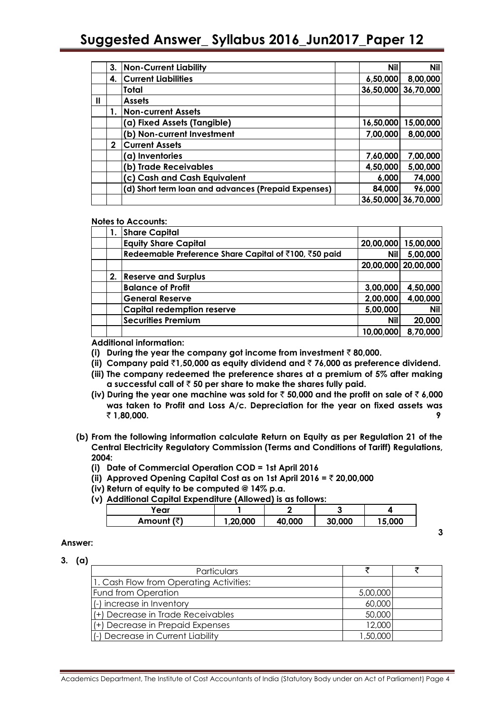|   | 3.           | <b>Non-Current Liability</b>                        | <b>Nil</b> | <b>Nil</b>          |
|---|--------------|-----------------------------------------------------|------------|---------------------|
|   | 4.           | <b>Current Liabilities</b>                          | 6,50,000   | 8,00,000            |
|   |              | Total                                               |            | 36,50,000 36,70,000 |
| H |              | <b>Assets</b>                                       |            |                     |
|   |              | <b>Non-current Assets</b>                           |            |                     |
|   |              | (a) Fixed Assets (Tangible)                         | 16,50,000  | 15,00,000           |
|   |              | (b) Non-current Investment                          | 7,00,000   | 8,00,000            |
|   | $\mathbf{2}$ | <b>Current Assets</b>                               |            |                     |
|   |              | (a) Inventories                                     | 7,60,000   | 7,00,000            |
|   |              | (b) Trade Receivables                               | 4,50,000   | 5,00,000            |
|   |              | (c) Cash and Cash Equivalent                        | 6,000      | 74,000              |
|   |              | (d) Short term loan and advances (Prepaid Expenses) | 84,000     | 96,000              |
|   |              |                                                     |            | 36,50,000 36,70,000 |

#### **Notes to Accounts:**

|    | <b>Share Capital</b>                                  |           |                     |
|----|-------------------------------------------------------|-----------|---------------------|
|    | <b>Equity Share Capital</b>                           | 20,00,000 | 15,00,000           |
|    | Redeemable Preference Share Capital of ₹100, ₹50 paid | Nil       | 5,00,000            |
|    |                                                       |           | 20,00,000 20,00,000 |
| 2. | <b>Reserve and Surplus</b>                            |           |                     |
|    | <b>Balance of Profit</b>                              | 3,00,000  | 4,50,000            |
|    | <b>General Reserve</b>                                | 2,00,000  | 4,00,000            |
|    | <b>Capital redemption reserve</b>                     | 5,00,000  | <b>Nil</b>          |
|    | <b>Securities Premium</b>                             | Nil       | 20,000              |
|    |                                                       | 10,00,000 | 8,70,000            |

**Additional information:**

- **(i) During the year the company got income from investment** ` **80,000.**
- **(ii) Company paid** `**1,50,000 as equity dividend and** ` **76,000 as preference dividend.**
- **(iii) The company redeemed the preference shares at a premium of 5% after making a successful call of** ` **50 per share to make the shares fully paid.**
- (iv) During the year one machine was sold for  $\bar{\tau}$  50,000 and the profit on sale of  $\bar{\tau}$  6,000 **was taken to Profit and Loss A/c. Depreciation for the year on fixed assets was**  ` **1,80,000. 9**
- **(b) From the following information calculate Return on Equity as per Regulation 21 of the Central Electricity Regulatory Commission (Terms and Conditions of Tariff) Regulations, 2004:** 
	- **(i) Date of Commercial Operation COD = 1st April 2016**
	- (ii) Approved Opening Capital Cost as on 1st April 2016 =  $\bar{z}$  20,00,000
	- **(iv) Return of equity to be computed @ 14% p.a.**

| (v) Additional Capital Expenditure (Allowed) is as follows: |          |        |        |        |  |  |
|-------------------------------------------------------------|----------|--------|--------|--------|--|--|
| Year                                                        |          |        |        |        |  |  |
| Amount (₹)                                                  | 1,20,000 | 40.000 | 30.000 | 15.000 |  |  |

**3** 

#### **Answer:**

**3. (a)**

| Particulars                             |          |  |
|-----------------------------------------|----------|--|
| 1. Cash Flow from Operating Activities: |          |  |
| <b>Fund from Operation</b>              | 5,00,000 |  |
| $\vert$ (-) increase in Inventory       | 60,000   |  |
| (+) Decrease in Trade Receivables       | 50,000   |  |
| $(+)$ Decrease in Prepaid Expenses      | 12,000   |  |
| (-) Decrease in Current Liability       | 1,50,000 |  |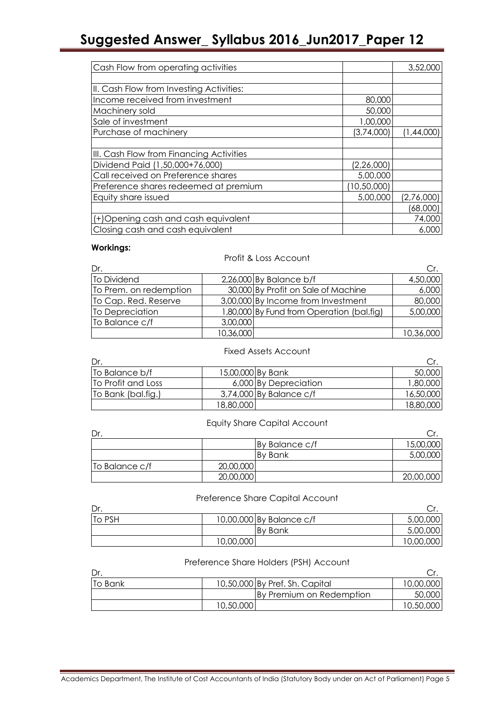| Cash Flow from operating activities      |            | 3,52,000   |
|------------------------------------------|------------|------------|
|                                          |            |            |
| II. Cash Flow from Investing Activities: |            |            |
| Income received from investment          | 80,000     |            |
| Machinery sold                           | 50,000     |            |
| Sale of investment                       | 1,00,000   |            |
| Purchase of machinery                    | (3,74,000) | (1,44,000) |
|                                          |            |            |
| III. Cash Flow from Financing Activities |            |            |
| Dividend Paid (1,50,000+76,000)          | (2,26,000) |            |
| Call received on Preference shares       | 5,00,000   |            |
| Preference shares redeemed at premium    | 10,50,000) |            |
| Equity share issued                      | 5,00,000   | (2,76,000) |
|                                          |            | (68,000)   |
| (+)Opening cash and cash equivalent      |            | 74,000     |
| Closing cash and cash equivalent         |            | 6,000      |

#### **Workings:**

#### Profit & Loss Account

| Dr.                    |           |                                           | Cr        |
|------------------------|-----------|-------------------------------------------|-----------|
| <b>To Dividend</b>     |           | $2,26,000$ By Balance b/f                 | 4,50,000  |
| To Prem. on redemption |           | 30,000 By Profit on Sale of Machine       | 6,000     |
| To Cap. Red. Reserve   |           | 3,00,000 By Income from Investment        | 80,000    |
| To Depreciation        |           | 1,80,000 By Fund from Operation (bal.fig) | 5,00,000  |
| To Balance c/f         | 3,00,000  |                                           |           |
|                        | 10,36,000 |                                           | 10,36,000 |

#### Fixed Assets Account

| Dr.                |           |                           |           |
|--------------------|-----------|---------------------------|-----------|
| To Balance b/f     |           | 15,00,000 By Bank         | 50,000    |
| To Profit and Loss |           | 6,000 By Depreciation     | 1,80,000  |
| To Bank (bal.fig.) |           | $3,74,000$ By Balance c/f | 16,50,000 |
|                    | 18,80,000 |                           | 18,80,000 |

#### Equity Share Capital Account

|                |           | By Balance c/f | 15,00,000 |
|----------------|-----------|----------------|-----------|
|                |           | <b>By Bank</b> | 5,00,000  |
| To Balance c/f | 20,00,000 |                |           |
|                | 20,00,000 |                | 20,00,000 |

#### Preference Share Capital Account

| Dr.    |                          |           |
|--------|--------------------------|-----------|
| To PSH | 10,00,000 By Balance c/f | 5,00,000  |
|        | <b>IBy Bank</b>          | 5,00,000  |
|        | 10,00,000                | 10,00,000 |

#### Preference Share Holders (PSH) Account

| To Bank |           | 10,50,000 By Pref. Sh. Capital | 10,00,000 |
|---------|-----------|--------------------------------|-----------|
|         |           | By Premium on Redemption       | 50,000    |
|         | 10,50,000 |                                | 10,50,000 |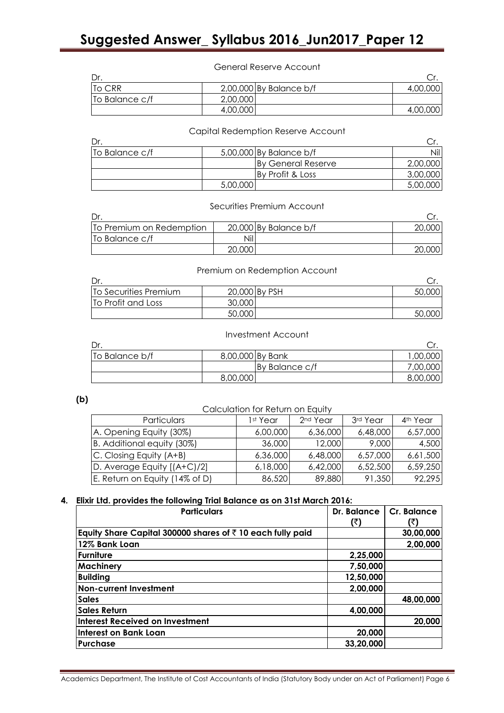|  |  | <b>General Reserve Account</b> |  |
|--|--|--------------------------------|--|
|--|--|--------------------------------|--|

| To CRR         |          | $2,00,000$ By Balance b/f | 4,00,000 |
|----------------|----------|---------------------------|----------|
| To Balance c/f | 2,00,000 |                           |          |
|                | 4,00,000 |                           | 4,00,000 |

#### Capital Redemption Reserve Account

| To Balance c/f |          | 5,00,000 By Balance b/f | Nill     |
|----------------|----------|-------------------------|----------|
|                |          | By General Reserve      | 2,00,000 |
|                |          | By Profit & Loss        | 3,00,000 |
|                | 5,00,000 |                         | 5,00,000 |

#### Securities Premium Account

| To Premium on Redemption |        | 20,000 By Balance b/f | 20,000 |
|--------------------------|--------|-----------------------|--------|
| To Balance c/f           | Nil    |                       |        |
|                          | 20,000 |                       | 20,000 |

#### Premium on Redemption Account

| To Securities Premium | 20,000 By PSH | 50,000 |
|-----------------------|---------------|--------|
| To Profit and Loss    | 30,000        |        |
|                       | 50,000        | 50,000 |

#### Investment Account

|                |                  |                | . اب     |
|----------------|------------------|----------------|----------|
| To Balance b/f | 8,00,000 By Bank |                | 1,00,000 |
|                |                  | By Balance c/f | 7,00,000 |
|                | 8,00,000         |                | 8,00,000 |

**(b)**

#### Calculation for Return on Equity

| Particulars                    | 1st Year | 2 <sup>nd</sup> Year | 3rd Year | 4 <sup>th</sup> Year |
|--------------------------------|----------|----------------------|----------|----------------------|
| A. Opening Equity (30%)        | 6,00,000 | 6,36,000             | 6,48,000 | 6,57,000             |
| B. Additional equity (30%)     | 36,000   | 12,000               | 9,000    | 4,500                |
| C. Closing Equity (A+B)        | 6,36,000 | 6,48,000             | 6,57,000 | 6,61,500             |
| D. Average Equity [(A+C)/2]    | 6,18,000 | 6,42,000             | 6,52,500 | 6,59,250             |
| E. Return on Equity (14% of D) | 86,520   | 89,880               | 91,350   | 92,295               |

#### **4. Elixir Ltd. provides the following Trial Balance as on 31st March 2016:**

| <b>Particulars</b>                                                    | Dr. Balance | Cr. Balance |
|-----------------------------------------------------------------------|-------------|-------------|
|                                                                       | (₹)         | (₹)         |
| Equity Share Capital 300000 shares of $\bar{\tau}$ 10 each fully paid |             | 30,00,000   |
| 12% Bank Loan                                                         |             | 2,00,000    |
| <b>Furniture</b>                                                      | 2,25,000    |             |
| <b>Machinery</b>                                                      | 7,50,000    |             |
| <b>Building</b>                                                       | 12,50,000   |             |
| <b>Non-current Investment</b>                                         | 2,00,000    |             |
| <b>Sales</b>                                                          |             | 48,00,000   |
| <b>Sales Return</b>                                                   | 4,00,000    |             |
| Interest Received on Investment                                       |             | 20,000      |
| Interest on Bank Loan                                                 | 20,000      |             |
| <b>Purchase</b>                                                       | 33,20,000   |             |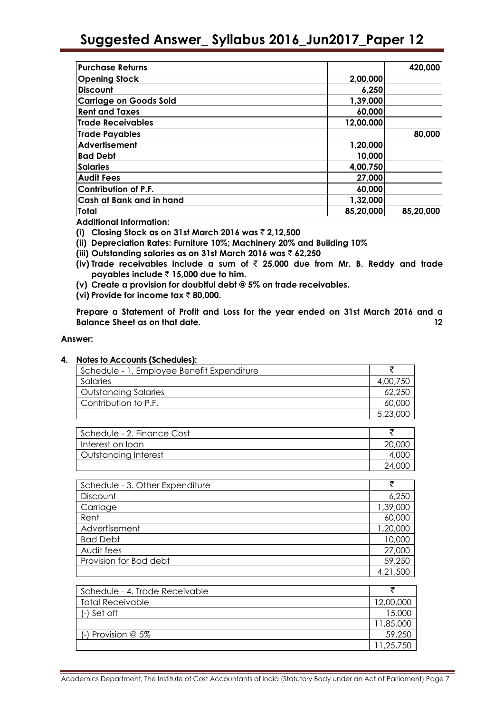| <b>Purchase Returns</b>         |           | 420,000   |
|---------------------------------|-----------|-----------|
| <b>Opening Stock</b>            | 2,00,000  |           |
| Discount                        | 6,250     |           |
| <b>Carriage on Goods Sold</b>   | 1,39,000  |           |
| <b>Rent and Taxes</b>           | 60,000    |           |
| Trade Receivables               | 12,00,000 |           |
| Trade Payables                  |           | 80,000    |
| Advertisement                   | 1,20,000  |           |
| <b>Bad Debt</b>                 | 10,000    |           |
| Salaries                        | 4,00,750  |           |
| Audit Fees                      | 27,000    |           |
| Contribution of P.F.            | 60,000    |           |
| <b>Cash at Bank and in hand</b> | 1,32,000  |           |
| Total                           | 85,20,000 | 85,20,000 |
|                                 |           |           |

**Additional Information:**

**(i) Closing Stock as on 31st March 2016 was** ` **2,12,500**

- **(ii) Depreciation Rates: Furniture 10%; Machinery 20% and Building 10%**
- **(iii) Outstanding salaries as on 31st March 2016 was** ` **62,250**
- **(iv) Trade receivables include a sum of** ` **25,000 due from Mr. B. Reddy and trade payables include** ` **15,000 due to him.**
- **(v) Create a provision for doubtful debt @ 5% on trade receivables.**
- **(vi) Provide for income tax** ` **80,000.**

**Prepare a Statement of Profit and Loss for the year ended on 31st March 2016 and a Balance Sheet as on that date. 12**

#### **Answer:**

#### **4. Notes to Accounts (Schedules):**

| Schedule - 1. Employee Benefit Expenditure |          |
|--------------------------------------------|----------|
| Salaries                                   | 4,00,750 |
| <b>Outstanding Salaries</b>                | 62,250   |
| Contribution to P.F.                       | 60,000   |
|                                            | 5,23,000 |

| Schedule - 2. Finance Cost |        |
|----------------------------|--------|
| Interest on loan           | 20,000 |
| Outstanding Interest       | 4,000  |
|                            | 24,000 |

| Schedule - 3. Other Expenditure |          |
|---------------------------------|----------|
| Discount                        | 6,250    |
| Carriage                        | 1,39,000 |
| Rent                            | 60,000   |
| Advertisement                   | 1,20,000 |
| <b>Bad Debt</b>                 | 10,000   |
| Audit fees                      | 27,000   |
| Provision for Bad debt          | 59,250   |
|                                 | 4,21,500 |

| Schedule - 4. Trade Receivable |           |
|--------------------------------|-----------|
| <b>Total Receivable</b>        | 12,00,000 |
| $(-)$ Set off                  | 15,000    |
|                                | 11,85,000 |
| (-) Provision @ 5%             | 59,250    |
|                                | 11,25,750 |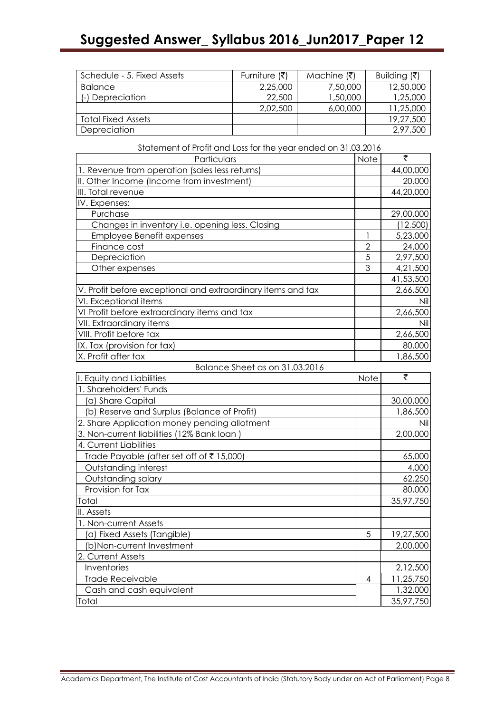| Schedule - 5. Fixed Assets | Furniture $(\bar{\bar{\zeta}})$ | Machine $(\bar{\bar{\zeta}})$ | Building $(\bar{\tau})$ |
|----------------------------|---------------------------------|-------------------------------|-------------------------|
| <b>Balance</b>             | 2,25,000                        | 7,50,000                      | 12,50,000               |
| (-) Depreciation           | 22,500                          | 1,50,000                      | 1,25,000                |
|                            | 2,02,500                        | 6,00,000                      | 11,25,000               |
| <b>Total Fixed Assets</b>  |                                 |                               | 19,27,500               |
| Depreciation               |                                 |                               | 2,97,500                |

| Statement of Profit and Loss for the year ended on 31.03.2016 |             |           |
|---------------------------------------------------------------|-------------|-----------|
| Particulars                                                   | <b>Note</b> | ₹         |
| 1. Revenue from operation (sales less returns)                |             | 44,00,000 |
| II. Other Income (Income from investment)                     |             | 20,000    |
| III. Total revenue                                            |             | 44,20,000 |
| IV. Expenses:                                                 |             |           |
| Purchase                                                      |             | 29,00,000 |
| Changes in inventory i.e. opening less. Closing               |             | (12,500)  |
| Employee Benefit expenses                                     |             | 5,23,000  |
| Finance cost                                                  | 2           | 24,000    |
| Depreciation                                                  | 5           | 2,97,500  |
| Other expenses                                                | 3           | 4,21,500  |
|                                                               |             | 41,53,500 |
| V. Profit before exceptional and extraordinary items and tax  |             | 2,66,500  |
| VI. Exceptional items                                         |             | Nil       |
| VI Profit before extraordinary items and tax                  |             | 2,66,500  |
| VII. Extraordinary items                                      |             | Nil       |
| VIII. Profit before tax                                       |             | 2,66,500  |
| IX. Tax (provision for tax)                                   |             | 80,000    |
| X. Profit after tax                                           |             | 1,86,500  |

| Balance Sheet as on 31.03.2016               |             |           |
|----------------------------------------------|-------------|-----------|
| I. Equity and Liabilities                    | <b>Note</b> | ₹         |
| 1. Shareholders' Funds                       |             |           |
| (a) Share Capital                            |             | 30,00,000 |
| (b) Reserve and Surplus (Balance of Profit)  |             | 1,86,500  |
| 2. Share Application money pending allotment |             | Nil       |
| 3. Non-current liabilities (12% Bank loan)   |             | 2,00,000  |
| 4. Current Liabilities                       |             |           |
| Trade Payable (after set off of ₹15,000)     |             | 65,000    |
| Outstanding interest                         |             | 4,000     |
| Outstanding salary                           |             | 62,250    |
| Provision for Tax                            |             | 80,000    |
| Total                                        |             | 35,97,750 |
| II. Assets                                   |             |           |
| 1. Non-current Assets                        |             |           |
| (a) Fixed Assets (Tangible)                  | 5           | 19,27,500 |
| (b)Non-current Investment                    |             | 2,00,000  |
| 2. Current Assets                            |             |           |
| Inventories                                  |             | 2,12,500  |
| <b>Trade Receivable</b>                      | 4           | 11,25,750 |
| Cash and cash equivalent                     |             | 1,32,000  |
| Total                                        |             | 35,97,750 |

Academics Department, The Institute of Cost Accountants of India (Statutory Body under an Act of Parliament) Page 8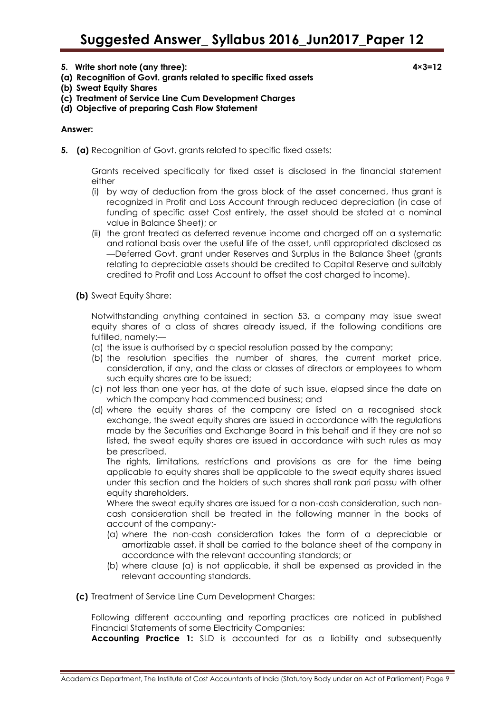- **5. Write short note (any three): 4×3=12**
- **(a) Recognition of Govt. grants related to specific fixed assets**
- **(b) Sweat Equity Shares**
- **(c) Treatment of Service Line Cum Development Charges**
- **(d) Objective of preparing Cash Flow Statement**

#### **Answer:**

**5. (a)** Recognition of Govt. grants related to specific fixed assets:

Grants received specifically for fixed asset is disclosed in the financial statement either

- (i) by way of deduction from the gross block of the asset concerned, thus grant is recognized in Profit and Loss Account through reduced depreciation (in case of funding of specific asset Cost entirely, the asset should be stated at a nominal value in Balance Sheet); or
- (ii) the grant treated as deferred revenue income and charged off on a systematic and rational basis over the useful life of the asset, until appropriated disclosed as —Deferred Govt. grant under Reserves and Surplus in the Balance Sheet (grants relating to depreciable assets should be credited to Capital Reserve and suitably credited to Profit and Loss Account to offset the cost charged to income).
- **(b)** Sweat Equity Share:

Notwithstanding anything contained in section 53, a company may issue sweat equity shares of a class of shares already issued, if the following conditions are fulfilled, namely:—

- (a) the issue is authorised by a special resolution passed by the company;
- (b) the resolution specifies the number of shares, the current market price, consideration, if any, and the class or classes of directors or employees to whom such equity shares are to be issued;
- (c) not less than one year has, at the date of such issue, elapsed since the date on which the company had commenced business; and
- (d) where the equity shares of the company are listed on a recognised stock exchange, the sweat equity shares are issued in accordance with the regulations made by the Securities and Exchange Board in this behalf and if they are not so listed, the sweat equity shares are issued in accordance with such rules as may be prescribed.

The rights, limitations, restrictions and provisions as are for the time being applicable to equity shares shall be applicable to the sweat equity shares issued under this section and the holders of such shares shall rank pari passu with other equity shareholders.

Where the sweat equity shares are issued for a non-cash consideration, such noncash consideration shall be treated in the following manner in the books of account of the company:-

- (a) where the non-cash consideration takes the form of a depreciable or amortizable asset, it shall be carried to the balance sheet of the company in accordance with the relevant accounting standards; or
- (b) where clause (a) is not applicable, it shall be expensed as provided in the relevant accounting standards.
- **(c)** Treatment of Service Line Cum Development Charges:

Following different accounting and reporting practices are noticed in published Financial Statements of some Electricity Companies:

**Accounting Practice 1:** SLD is accounted for as a liability and subsequently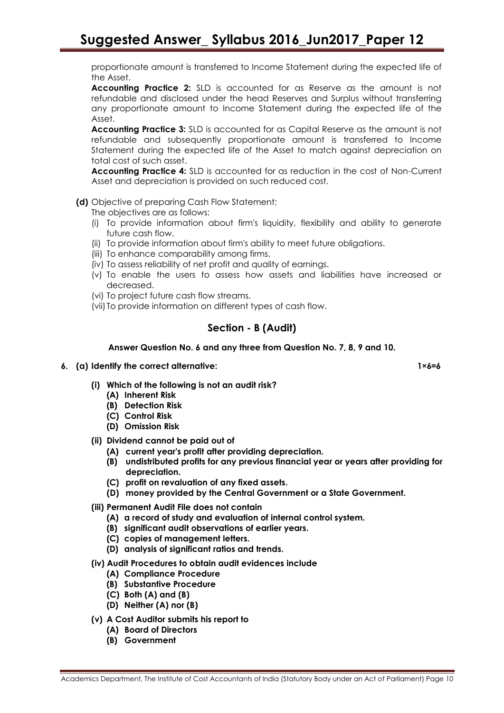proportionate amount is transferred to Income Statement during the expected life of the Asset.

**Accounting Practice 2:** SLD is accounted for as Reserve as the amount is not refundable and disclosed under the head Reserves and Surplus without transferring any proportionate amount to Income Statement during the expected life of the Asset.

**Accounting Practice 3:** SLD is accounted for as Capital Reserve as the amount is not refundable and subsequently proportionate amount is transferred to Income Statement during the expected life of the Asset to match against depreciation on total cost of such asset.

**Accounting Practice 4:** SLD is accounted for as reduction in the cost of Non-Current Asset and depreciation is provided on such reduced cost.

#### **(d)** Objective of preparing Cash Flow Statement:

The objectives are as follows:

- (i) To provide information about firm's liquidity, flexibility and ability to generate future cash flow.
- (ii) To provide information about firm's ability to meet future obligations.
- (iii) To enhance comparability among firms.
- (iv) To assess reliability of net profit and quality of earnings.
- (v) To enable the users to assess how assets and liabilities have increased or decreased.
- (vi) To project future cash flow streams.
- (vii) To provide information on different types of cash flow.

### **Section - B (Audit)**

#### **Answer Question No. 6 and any three from Question No. 7, 8, 9 and 10.**

**6. (a) Identify the correct alternative: 1×6=6**

- **(i) Which of the following is not an audit risk?**
	- **(A) Inherent Risk**
		- **(B) Detection Risk**
		- **(C) Control Risk**
		- **(D) Omission Risk**
- **(ii) Dividend cannot be paid out of**
	- **(A) current year's profit after providing depreciation.**
	- **(B) undistributed profits for any previous financial year or years after providing for depreciation.**
	- **(C) profit on revaluation of any fixed assets.**
	- **(D) money provided by the Central Government or a State Government.**
- **(iii) Permanent Audit File does not contain**
	- **(A) a record of study and evaluation of internal control system.**
	- **(B) significant audit observations of earlier years.**
	- **(C) copies of management letters.**
	- **(D) analysis of significant ratios and trends.**
- **(iv) Audit Procedures to obtain audit evidences include**
	- **(A) Compliance Procedure**
	- **(B) Substantive Procedure**
	- **(C) Both (A) and (B)**
	- **(D) Neither (A) nor (B)**
- **(v) A Cost Auditor submits his report to**
	- **(A) Board of Directors**
	- **(B) Government**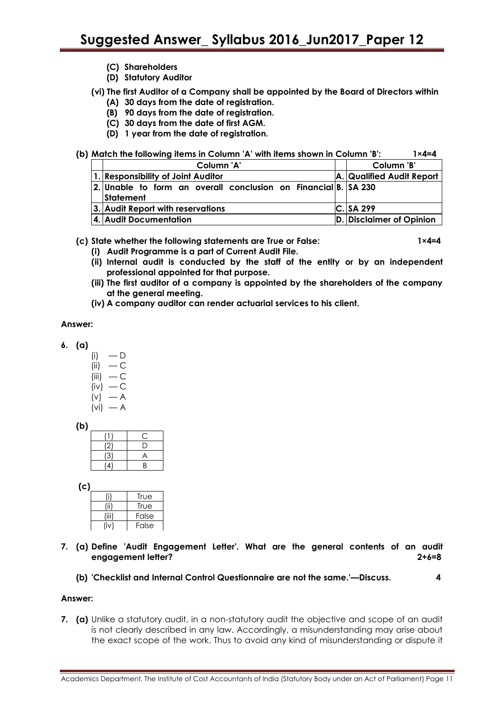- **(C) Shareholders**
- **(D) Statutory Auditor**

### **(vi) The first Auditor of a Company shall be appointed by the Board of Directors within**

- **(A) 30 days from the date of registration.**
- **(B) 90 days from the date of registration.**
- **(C) 30 days from the date of first AGM.**
- **(D) 1 year from the date of registration.**
- **(b) Match the following items in Column 'A' with items shown in Column 'B': 1×4=4**

| Column 'A'                                                     |     | Column 'B'                |
|----------------------------------------------------------------|-----|---------------------------|
| 1. Responsibility of Joint Auditor                             |     | A. Qualified Audit Report |
| 2. Unable to form an overall conclusion on Financial B. SA 230 |     |                           |
| Statement                                                      |     |                           |
| 3. Audit Report with reservations                              |     | $C.$ SA 299               |
| 4. Audit Documentation                                         | ID. | Disclaimer of Opinion     |

**(c) State whether the following statements are True or False: 1×4=4**

- **(i) Audit Programme is a part of Current Audit File.**
- **(ii) Internal audit is conducted by the staff of the entity or by an independent professional appointed for that purpose.**
- **(iii) The first auditor of a company is appointed by the shareholders of the company at the general meeting.**
- **(iv) A company auditor can render actuarial services to his client.**

#### **Answer:**

- **6. (a)**
	- $(i) D$  $(ii)$  — C  $(iii) - C$  $(iv) - C$  $(v) - A$  $(vi) - A$

| (b) |               |   |
|-----|---------------|---|
|     |               |   |
|     |               |   |
|     | $\mathcal{E}$ |   |
|     | Δ             | B |
|     |               |   |

| (c) |     |       |
|-----|-----|-------|
|     |     | True  |
|     |     | True  |
|     |     | False |
|     | liv | False |

#### **7. (a) Define 'Audit Engagement Letter'. What are the general contents of an audit engagement letter? 2+6=8**

**(b) 'Checklist and Internal Control Questionnaire are not the same.'—Discuss. 4**

### **Answer:**

**7. (a)** Unlike a statutory audit, in a non-statutory audit the objective and scope of an audit is not clearly described in any law. Accordingly, a misunderstanding may arise about the exact scope of the work. Thus to avoid any kind of misunderstanding or dispute it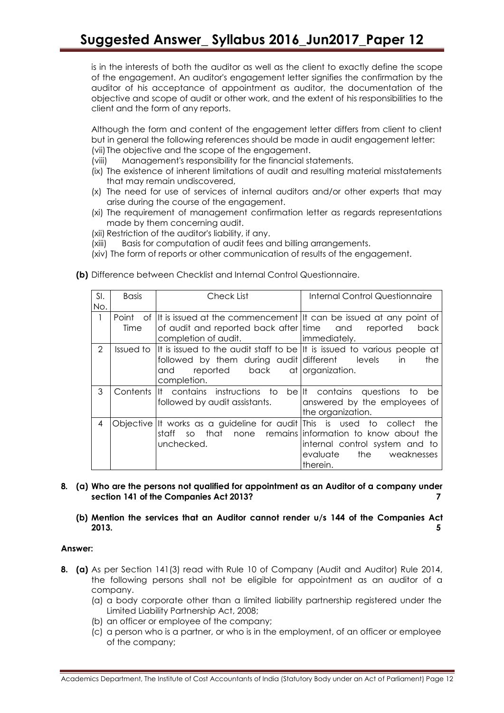is in the interests of both the auditor as well as the client to exactly define the scope of the engagement. An auditor's engagement letter signifies the confirmation by the auditor of his acceptance of appointment as auditor, the documentation of the objective and scope of audit or other work, and the extent of his responsibilities to the client and the form of any reports.

Although the form and content of the engagement letter differs from client to client but in general the following references should be made in audit engagement letter: (vii) The objective and the scope of the engagement.

- (viii) Management's responsibility for the financial statements.
- (ix) The existence of inherent limitations of audit and resulting material misstatements that may remain undiscovered,
- (x) The need for use of services of internal auditors and/or other experts that may arise during the course of the engagement.
- (xi) The requirement of management confirmation letter as regards representations made by them concerning audit.
- (xii) Restriction of the auditor's liability, if any.
- (xiii) Basis for computation of audit fees and billing arrangements.
- (xiv) The form of reports or other communication of results of the engagement.

| SI.           | <b>Basis</b> | Check List                                                                 | Internal Control Questionnaire                     |
|---------------|--------------|----------------------------------------------------------------------------|----------------------------------------------------|
| No.           |              |                                                                            |                                                    |
|               |              | Point of It is issued at the commencement It can be issued at any point of |                                                    |
|               | Time         | of audit and reported back after time and reported                         | back                                               |
|               |              |                                                                            | limmediately.                                      |
|               |              | completion of audit.                                                       |                                                    |
| $\mathcal{P}$ | Issued to    | It is issued to the audit staff to be It is issued to various people at    |                                                    |
|               |              | followed by them during audit different levels in                          | the                                                |
|               |              | reported back at organization.<br>and                                      |                                                    |
|               |              | completion.                                                                |                                                    |
| 3             |              | Contents It contains instructions to be It contains questions to           | be                                                 |
|               |              | followed by audit assistants.                                              | answered by the employees of                       |
|               |              |                                                                            |                                                    |
|               |              |                                                                            | the organization.                                  |
| 4             |              | Objective It works as a guideline for audit This is used to collect        | the                                                |
|               |              | staff                                                                      | so that none remains information to know about the |
|               |              | unchecked.                                                                 | internal control system and to                     |
|               |              |                                                                            | evaluate<br>the weaknesses                         |
|               |              |                                                                            |                                                    |
|               |              |                                                                            | therein.                                           |

**(b)** Difference between Checklist and Internal Control Questionnaire.

- **8. (a) Who are the persons not qualified for appointment as an Auditor of a company under**  section 141 of the Companies Act 2013?
	- **(b) Mention the services that an Auditor cannot render u/s 144 of the Companies Act 2013. 5**

#### **Answer:**

- **8. (a)** As per Section 141(3) read with Rule 10 of Company (Audit and Auditor) Rule 2014, the following persons shall not be eligible for appointment as an auditor of a company.
	- (a) a body corporate other than a limited liability partnership registered under the Limited Liability Partnership Act, 2008;
	- (b) an officer or employee of the company;
	- (c) a person who is a partner, or who is in the employment, of an officer or employee of the company;

Academics Department, The Institute of Cost Accountants of India (Statutory Body under an Act of Parliament) Page 12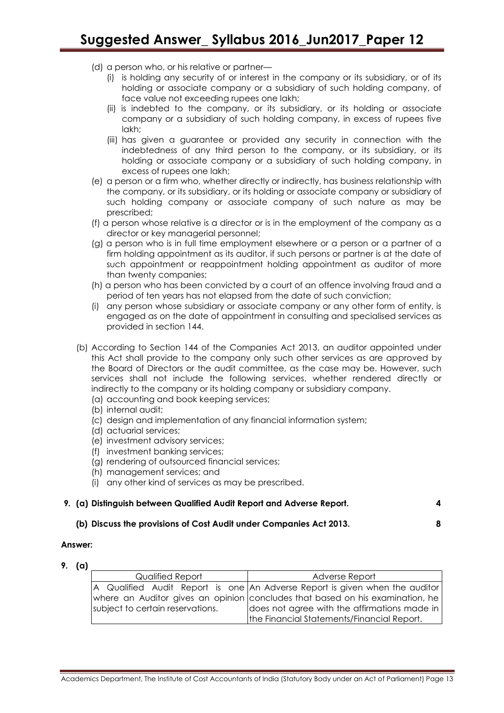- (d) a person who, or his relative or partner—
	- (i) is holding any security of or interest in the company or its subsidiary, or of its holding or associate company or a subsidiary of such holding company, of face value not exceeding rupees one lakh;
	- (ii) is indebted to the company, or its subsidiary, or its holding or associate company or a subsidiary of such holding company, in excess of rupees five lakh;
	- (iii) has given a guarantee or provided any security in connection with the indebtedness of any third person to the company, or its subsidiary, or its holding or associate company or a subsidiary of such holding company, in excess of rupees one lakh;
- (e) a person or a firm who, whether directly or indirectly, has business relationship with the company, or its subsidiary, or its holding or associate company or subsidiary of such holding company or associate company of such nature as may be prescribed;
- (f) a person whose relative is a director or is in the employment of the company as a director or key managerial personnel;
- (g) a person who is in full time employment elsewhere or a person or a partner of a firm holding appointment as its auditor, if such persons or partner is at the date of such appointment or reappointment holding appointment as auditor of more than twenty companies;
- (h) a person who has been convicted by a court of an offence involving fraud and a period of ten years has not elapsed from the date of such conviction;
- (i) any person whose subsidiary or associate company or any other form of entity, is engaged as on the date of appointment in consulting and specialised services as provided in section 144.
- (b) According to Section 144 of the Companies Act 2013, an auditor appointed under this Act shall provide to the company only such other services as are approved by the Board of Directors or the audit committee, as the case may be. However, such services shall not include the following services, whether rendered directly or indirectly to the company or its holding company or subsidiary company.
	- (a) accounting and book keeping services;
	- (b) internal audit;
	- (c) design and implementation of any financial information system;
	- (d) actuarial services;
	- (e) investment advisory services;
	- (f) investment banking services;
	- (g) rendering of outsourced financial services;
	- (h) management services; and
	- (i) any other kind of services as may be prescribed.

### **9. (a) Distinguish between Qualified Audit Report and Adverse Report. 4**

**(b) Discuss the provisions of Cost Audit under Companies Act 2013. 8**

#### **Answer:**

**9. (a)**

| Qualified Report                 | Adverse Report                                                                |  |
|----------------------------------|-------------------------------------------------------------------------------|--|
|                                  | A Qualified Audit Report is one An Adverse Report is given when the auditor   |  |
|                                  | where an Auditor gives an opinion concludes that based on his examination, he |  |
| subject to certain reservations. | does not agree with the affirmations made in                                  |  |
|                                  | the Financial Statements/Financial Report.                                    |  |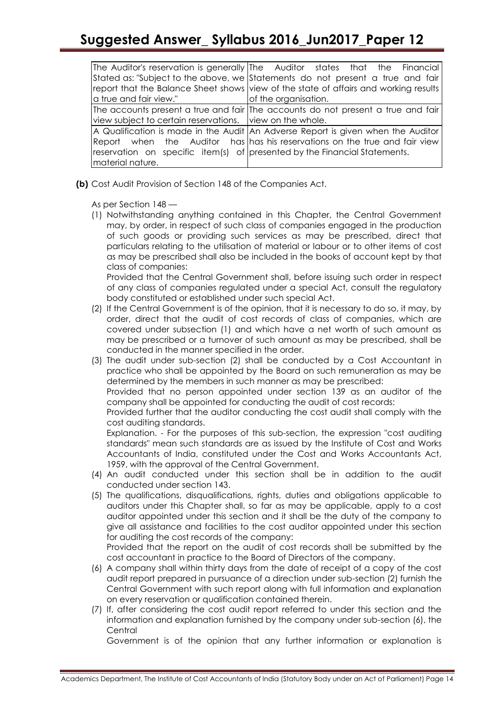|                                                          | The Auditor's reservation is generally The Auditor states that the Financial<br>Stated as: "Subject to the above, we Statements do not present a true and fair |
|----------------------------------------------------------|----------------------------------------------------------------------------------------------------------------------------------------------------------------|
|                                                          | report that the Balance Sheet shows view of the state of affairs and working results                                                                           |
| a true and fair view."                                   | of the organisation.                                                                                                                                           |
|                                                          | The accounts present a true and fair The accounts do not present a true and fair                                                                               |
| view subject to certain reservations. view on the whole. |                                                                                                                                                                |
|                                                          | A Qualification is made in the Audit An Adverse Report is given when the Auditor                                                                               |
|                                                          | Report when the Auditor has has his reservations on the true and fair view                                                                                     |
|                                                          | reservation on specific item(s) of presented by the Financial Statements.                                                                                      |
| material nature.                                         |                                                                                                                                                                |

**(b)** Cost Audit Provision of Section 148 of the Companies Act.

As per Section 148 —

(1) Notwithstanding anything contained in this Chapter, the Central Government may, by order, in respect of such class of companies engaged in the production of such goods or providing such services as may be prescribed, direct that particulars relating to the utilisation of material or labour or to other items of cost as may be prescribed shall also be included in the books of account kept by that class of companies:

Provided that the Central Government shall, before issuing such order in respect of any class of companies regulated under a special Act, consult the regulatory body constituted or established under such special Act.

- (2) If the Central Government is of the opinion, that it is necessary to do so, it may, by order, direct that the audit of cost records of class of companies, which are covered under subsection (1) and which have a net worth of such amount as may be prescribed or a turnover of such amount as may be prescribed, shall be conducted in the manner specified in the order.
- (3) The audit under sub-section (2) shall be conducted by a Cost Accountant in practice who shall be appointed by the Board on such remuneration as may be determined by the members in such manner as may be prescribed:

Provided that no person appointed under section 139 as an auditor of the company shall be appointed for conducting the audit of cost records:

Provided further that the auditor conducting the cost audit shall comply with the cost auditing standards.

Explanation. - For the purposes of this sub-section, the expression "cost auditing standards" mean such standards are as issued by the Institute of Cost and Works Accountants of India, constituted under the Cost and Works Accountants Act, 1959, with the approval of the Central Government.

- (4) An audit conducted under this section shall be in addition to the audit conducted under section 143.
- (5) The qualifications, disqualifications, rights, duties and obligations applicable to auditors under this Chapter shall, so far as may be applicable, apply to a cost auditor appointed under this section and it shall be the duty of the company to give all assistance and facilities to the cost auditor appointed under this section for auditing the cost records of the company:

Provided that the report on the audit of cost records shall be submitted by the cost accountant in practice to the Board of Directors of the company.

- (6) A company shall within thirty days from the date of receipt of a copy of the cost audit report prepared in pursuance of a direction under sub-section (2) furnish the Central Government with such report along with full information and explanation on every reservation or qualification contained therein.
- (7) If, after considering the cost audit report referred to under this section and the information and explanation furnished by the company under sub-section (6), the **Central**

Government is of the opinion that any further information or explanation is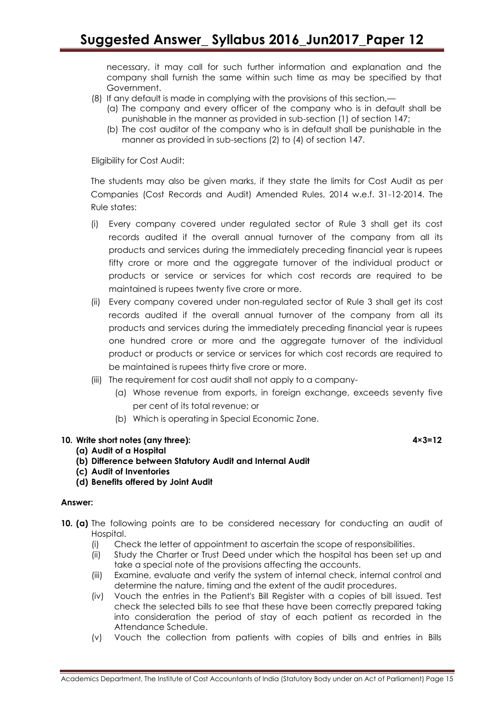necessary, it may call for such further information and explanation and the company shall furnish the same within such time as may be specified by that Government.

- (8) If any default is made in complying with the provisions of this section,—
	- (a) The company and every officer of the company who is in default shall be punishable in the manner as provided in sub-section (1) of section 147;
	- (b) The cost auditor of the company who is in default shall be punishable in the manner as provided in sub-sections (2) to (4) of section 147.

Eligibility for Cost Audit:

The students may also be given marks, if they state the limits for Cost Audit as per Companies (Cost Records and Audit) Amended Rules, 2014 w.e.f. 31-12-2014. The Rule states:

- (i) Every company covered under regulated sector of Rule 3 shall get its cost records audited if the overall annual turnover of the company from all its products and services during the immediately preceding financial year is rupees fifty crore or more and the aggregate turnover of the individual product or products or service or services for which cost records are required to be maintained is rupees twenty five crore or more.
- (ii) Every company covered under non-regulated sector of Rule 3 shall get its cost records audited if the overall annual turnover of the company from all its products and services during the immediately preceding financial year is rupees one hundred crore or more and the aggregate turnover of the individual product or products or service or services for which cost records are required to be maintained is rupees thirty five crore or more.
- (iii) The requirement for cost audit shall not apply to a company-
	- (a) Whose revenue from exports, in foreign exchange, exceeds seventy five per cent of its total revenue; or
	- (b) Which is operating in Special Economic Zone.

#### **10. Write short notes (any three): 4×3=12**

- **(a) Audit of a Hospital**
- **(b) Difference between Statutory Audit and Internal Audit**
- **(c) Audit of Inventories**
- **(d) Benefits offered by Joint Audit**

#### **Answer:**

- **10. (a)** The following points are to be considered necessary for conducting an audit of Hospital.
	- (i) Check the letter of appointment to ascertain the scope of responsibilities.
	- (ii) Study the Charter or Trust Deed under which the hospital has been set up and take a special note of the provisions affecting the accounts.
	- (iii) Examine, evaluate and verify the system of internal check, internal control and determine the nature, timing and the extent of the audit procedures.
	- (iv) Vouch the entries in the Patient's Bill Register with a copies of bill issued. Test check the selected bills to see that these have been correctly prepared taking into consideration the period of stay of each patient as recorded in the Attendance Schedule.
	- (v) Vouch the collection from patients with copies of bills and entries in Bills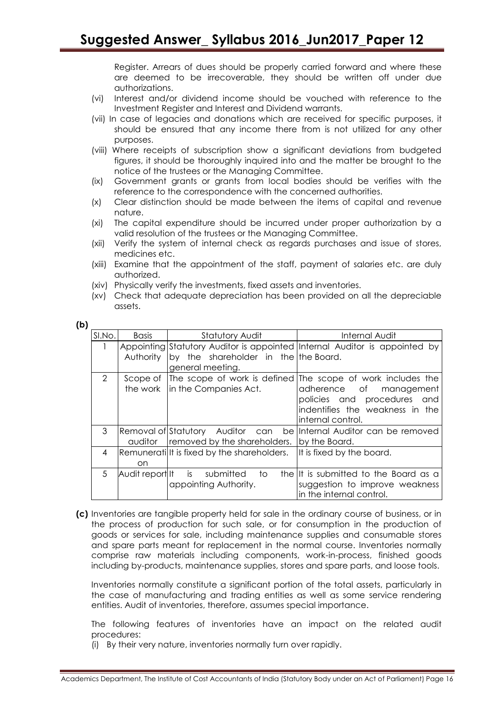Register. Arrears of dues should be properly carried forward and where these are deemed to be irrecoverable, they should be written off under due authorizations.

- (vi) Interest and/or dividend income should be vouched with reference to the Investment Register and Interest and Dividend warrants.
- (vii) In case of legacies and donations which are received for specific purposes, it should be ensured that any income there from is not utilized for any other purposes.
- (viii) Where receipts of subscription show a significant deviations from budgeted figures, it should be thoroughly inquired into and the matter be brought to the notice of the trustees or the Managing Committee.
- (ix) Government grants or grants from local bodies should be verifies with the reference to the correspondence with the concerned authorities.
- (x) Clear distinction should be made between the items of capital and revenue nature.
- (xi) The capital expenditure should be incurred under proper authorization by a valid resolution of the trustees or the Managing Committee.
- (xii) Verify the system of internal check as regards purchases and issue of stores, medicines etc.
- (xiii) Examine that the appointment of the staff, payment of salaries etc. are duly authorized.
- (xiv) Physically verify the investments, fixed assets and inventories.
- (xv) Check that adequate depreciation has been provided on all the depreciable assets.

| ۰       |
|---------|
| ۰.      |
| ı<br>۰. |
| $\sim$  |

| SI.No.         | Basis     | Statutory Audit                                             | Internal Audit                                                                                                                                                                         |
|----------------|-----------|-------------------------------------------------------------|----------------------------------------------------------------------------------------------------------------------------------------------------------------------------------------|
| $\mathbf{1}$   | Authority | by the shareholder in the the Board.<br>general meeting.    | Appointing Statutory Auditor is appointed Internal Auditor is appointed by                                                                                                             |
| $\mathcal{P}$  |           | the work   in the Companies Act.                            | Scope of The scope of work is defined The scope of work includes the<br>adherence of management<br>policies and procedures and<br>indentifies the weakness in the<br>internal control. |
| 3              |           | auditor   removed by the shareholders.   by the Board.      | Removal of Statutory Auditor can be   Internal Auditor can be removed                                                                                                                  |
| $\overline{4}$ | on.       | Remuneratillt is fixed by the shareholders.                 | It is fixed by the board.                                                                                                                                                              |
| 5              |           | Audit report It is submitted<br>to<br>appointing Authority. | the It is submitted to the Board as a<br>suggestion to improve weakness<br>in the internal control.                                                                                    |

**(c)** Inventories are tangible property held for sale in the ordinary course of business, or in the process of production for such sale, or for consumption in the production of goods or services for sale, including maintenance supplies and consumable stores and spare parts meant for replacement in the normal course. Inventories normally comprise raw materials including components, work-in-process, finished goods including by-products, maintenance supplies, stores and spare parts, and loose tools.

Inventories normally constitute a significant portion of the total assets, particularly in the case of manufacturing and trading entities as well as some service rendering entities. Audit of inventories, therefore, assumes special importance.

The following features of inventories have an impact on the related audit procedures:

(i) By their very nature, inventories normally turn over rapidly.